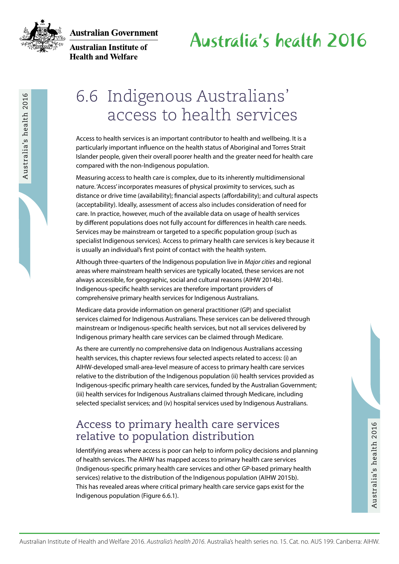**Australian Government** 



**Australian Institute of Health and Welfare** 

Australia's health 2016

### 6.6 Indigenous Australians' access to health services

Access to health services is an important contributor to health and wellbeing. It is a particularly important influence on the health status of Aboriginal and Torres Strait Islander people, given their overall poorer health and the greater need for health care compared with the non-Indigenous population.

**B. O. ITALUSENTOUS AUSTRAIDES**<br> **ACCESS to Dealth and Welfare 2016.**<br> **Australian Institute of Health and Welfare 2016**<br> **Australian Institute of Health and Welfare 2016**<br> **Australian Institute of Health and Welfare 2016** Measuring access to health care is complex, due to its inherently multidimensional nature. 'Access' incorporates measures of physical proximity to services, such as distance or drive time (availability); financial aspects (affordability); and cultural aspects (acceptability). Ideally, assessment of access also includes consideration of need for care. In practice, however, much of the available data on usage of health services by different populations does not fully account for differences in health care needs. Services may be mainstream or targeted to a specific population group (such as specialist Indigenous services). Access to primary health care services is key because it is usually an individual's first point of contact with the health system.

Although three-quarters of the Indigenous population live in *Major cities* and regional areas where mainstream health services are typically located, these services are not always accessible, for geographic, social and cultural reasons (AIHW 2014b). Indigenous-specific health services are therefore important providers of comprehensive primary health services for Indigenous Australians.

Medicare data provide information on general practitioner (GP) and specialist services claimed for Indigenous Australians. These services can be delivered through mainstream or Indigenous-specific health services, but not all services delivered by Indigenous primary health care services can be claimed through Medicare.

As there are currently no comprehensive data on Indigenous Australians accessing health services, this chapter reviews four selected aspects related to access: (i) an AIHW-developed small-area-level measure of access to primary health care services relative to the distribution of the Indigenous population (ii) health services provided as Indigenous-specific primary health care services, funded by the Australian Government; (iii) health services for Indigenous Australians claimed through Medicare, including selected specialist services; and (iv) hospital services used by Indigenous Australians.

#### Access to primary health care services relative to population distribution

Identifying areas where access is poor can help to inform policy decisions and planning of health services. The AIHW has mapped access to primary health care services (Indigenous-specific primary health care services and other GP-based primary health services) relative to the distribution of the Indigenous population (AIHW 2015b). This has revealed areas where critical primary health care service gaps exist for the Indigenous population (Figure 6.6.1).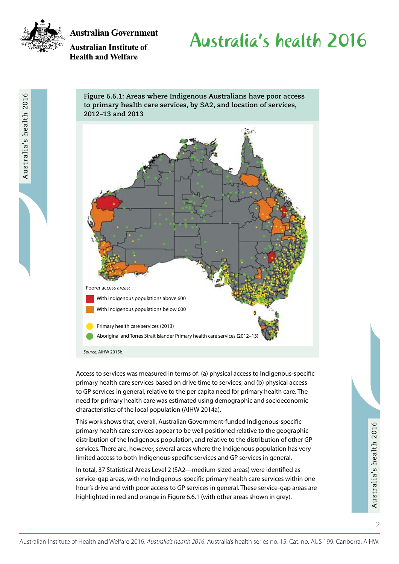

**Australian Government** 

**Australian Institute of Health and Welfare** 

# Australia's health 2016

**Figure 6.6.1: Areas where Indigenous Australians have poor access to primary health care services, by SA2, and location of services, 2012–13 and 2013**



Access to services was measured in terms of: (a) physical access to Indigenous-specific primary health care services based on drive time to services; and (b) physical access to GP services in general, relative to the per capita need for primary health care. The need for primary health care was estimated using demographic and socioeconomic characteristics of the local population (AIHW 2014a).

Australian Institute of Health and Welfare 2016. *Australia's health 2016*. Australia's health series no. 15. Cat. no. AUS 199. Canberra: AHHW.<br>Australian Institute of Health and Welfare 2016. *Australia's health 2016*. Au This work shows that, overall, Australian Government-funded Indigenous-specific primary health care services appear to be well positioned relative to the geographic distribution of the Indigenous population, and relative to the distribution of other GP services. There are, however, several areas where the Indigenous population has very limited access to both Indigenous-specific services and GP services in general.

In total, 37 Statistical Areas Level 2 (SA2—medium-sized areas) were identified as service-gap areas, with no Indigenous-specific primary health care services within one hour's drive and with poor access to GP services in general. These service-gap areas are highlighted in red and orange in Figure 6.6.1 (with other areas shown in grey).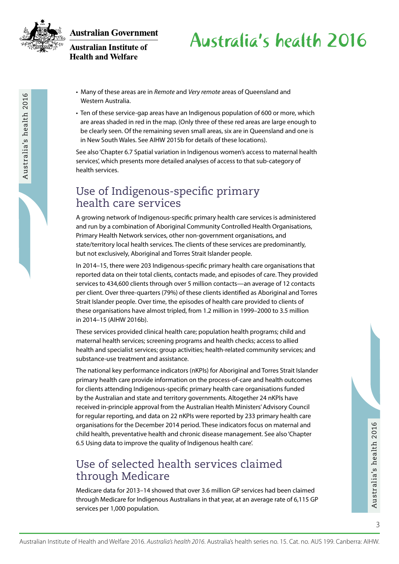

Australia's health 2016

Australia's health 2016

**Australian Government** 



# Australia's health 2016

- Many of these areas are in *Remote* and *Very remote* areas of Queensland and Western Australia.
- Ten of these service-gap areas have an Indigenous population of 600 or more, which are areas shaded in red in the map. (Only three of these red areas are large enough to be clearly seen. Of the remaining seven small areas, six are in Queensland and one is in New South Wales. See AIHW 2015b for details of these locations).

See also 'Chapter 6.7 Spatial variation in Indigenous women's access to maternal health services', which presents more detailed analyses of access to that sub-category of health services.

### Use of Indigenous-specific primary health care services

A growing network of Indigenous-specific primary health care services is administered and run by a combination of Aboriginal Community Controlled Health Organisations, Primary Health Network services, other non-government organisations, and state/territory local health services. The clients of these services are predominantly, but not exclusively, Aboriginal and Torres Strait Islander people.

In 2014–15, there were 203 Indigenous-specific primary health care organisations that reported data on their total clients, contacts made, and episodes of care. They provided services to 434,600 clients through over 5 million contacts—an average of 12 contacts per client. Over three-quarters (79%) of these clients identified as Aboriginal and Torres Strait Islander people. Over time, the episodes of health care provided to clients of these organisations have almost tripled, from 1.2 million in 1999–2000 to 3.5 million in 2014–15 (AIHW 2016b).

These services provided clinical health care; population health programs; child and maternal health services; screening programs and health checks; access to allied health and specialist services; group activities; health-related community services; and substance-use treatment and assistance.

The national key performance indicators (nKPIs) for Aboriginal and Torres Strait Islander primary health care provide information on the process-of-care and health outcomes for clients attending Indigenous-specific primary health care organisations funded by the Australian and state and territory governments. Altogether 24 nKPIs have received in-principle approval from the Australian Health Ministers' Advisory Council for regular reporting, and data on 22 nKPIs were reported by 233 primary health care organisations for the December 2014 period. These indicators focus on maternal and child health, preventative health and chronic disease management. See also 'Chapter 6.5 Using data to improve the quality of Indigenous health care'.

### Use of selected health services claimed through Medicare

organisations for the December 2014 period. These indicators focus on maternal and<br>
child health, preventative health and chronic disease management. See also Chapter<br>
6.5 Using data to improve the quality of Indigenous he Medicare data for 2013–14 showed that over 3.6 million GP services had been claimed through Medicare for Indigenous Australians in that year, at an average rate of 6,115 GP services per 1,000 population.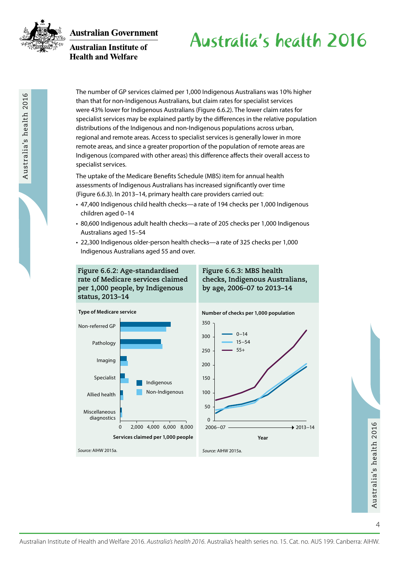

Australia's health 2016

Australia's health 2016

**Australian Government** 



# Australia's health 2016

The number of GP services claimed per 1,000 Indigenous Australians was 10% higher than that for non-Indigenous Australians, but claim rates for specialist services were 43% lower for Indigenous Australians (Figure 6.6.2). The lower claim rates for specialist services may be explained partly by the differences in the relative population distributions of the Indigenous and non-Indigenous populations across urban, regional and remote areas. Access to specialist services is generally lower in more remote areas, and since a greater proportion of the population of remote areas are Indigenous (compared with other areas) this difference affects their overall access to specialist services.

The uptake of the Medicare Benefits Schedule (MBS) item for annual health assessments of Indigenous Australians has increased significantly over time (Figure 6.6.3). In 2013–14, primary health care providers carried out:

- 47,400 Indigenous child health checks—a rate of 194 checks per 1,000 Indigenous children aged 0–14
- 80,600 Indigenous adult health checks—a rate of 205 checks per 1,000 Indigenous Australians aged 15–54
- 22,300 Indigenous older-person health checks—a rate of 325 checks per 1,000 Indigenous Australians aged 55 and over.

**Figure 6.6.2: Age-standardised rate of Medicare services claimed per 1,000 people, by Indigenous status, 2013–14**







4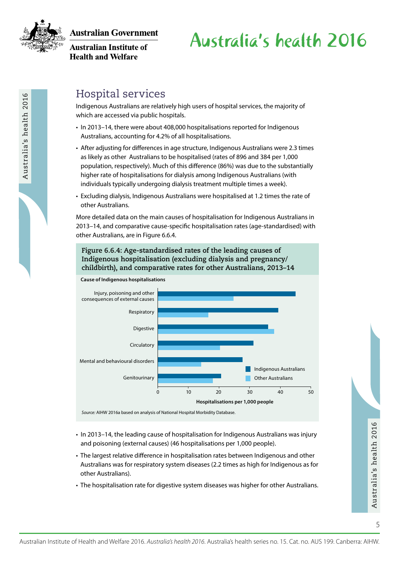

**Australian Government** 

**Australian Institute of Health and Welfare** 

# Australia's health 2016

### Hospital services

Indigenous Australians are relatively high users of hospital services, the majority of which are accessed via public hospitals.

- In 2013–14, there were about 408,000 hospitalisations reported for Indigenous Australians, accounting for 4.2% of all hospitalisations.
- After adjusting for differences in age structure, Indigenous Australians were 2.3 times as likely as other Australians to be hospitalised (rates of 896 and 384 per 1,000 population, respectively). Much of this difference (86%) was due to the substantially higher rate of hospitalisations for dialysis among Indigenous Australians (with individuals typically undergoing dialysis treatment multiple times a week).
- Excluding dialysis, Indigenous Australians were hospitalised at 1.2 times the rate of other Australians.

More detailed data on the main causes of hospitalisation for Indigenous Australians in 2013–14, and comparative cause-specific hospitalisation rates (age-standardised) with other Australians, are in Figure 6.6.4.

**Figure 6.6.4: Age-standardised rates of the leading causes of Indigenous hospitalisation (excluding dialysis and pregnancy/ childbirth), and comparative rates for other Australians, 2013–14**



*Source:* AIHW 2016a based on analysis of National Hospital Morbidity Database.

- In 2013–14, the leading cause of hospitalisation for Indigenous Australians was injury and poisoning (external causes) (46 hospitalisations per 1,000 people).
- In 2013–14, the leading cause of hospitalisation for Indigenous Australians was injury<br>
and poisoning (external causes) (46 hospitalisations per 1,000 people).<br>
 The largest relative difference in hospitalisation rates • The largest relative difference in hospitalisation rates between Indigenous and other Australians was for respiratory system diseases (2.2 times as high for Indigenous as for other Australians).
	- The hospitalisation rate for digestive system diseases was higher for other Australians.

Australia's health 2016 Australia's health 2016